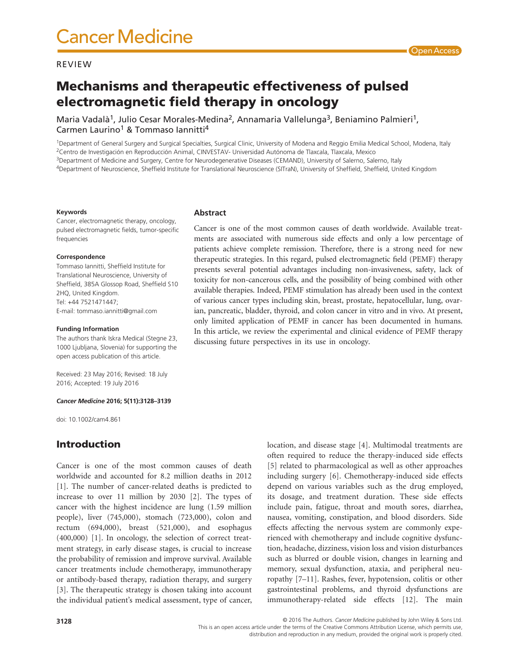#### REVIEW

# Mechanisms and therapeutic effectiveness of pulsed electromagnetic field therapy in oncology

Maria Vadalà<sup>1</sup>, Julio Cesar Morales-Medina<sup>2</sup>, Annamaria Vallelunga<sup>3</sup>, Beniamino Palmieri<sup>1</sup>, Carmen Laurino1 & Tommaso Iannitti4

<sup>1</sup>Department of General Surgery and Surgical Specialties, Surgical Clinic, University of Modena and Reggio Emilia Medical School, Modena, Italy 2Centro de Investigación en Reproducción Animal, CINVESTAV- Universidad Autónoma de Tlaxcala, Tlaxcala, Mexico

3Department of Medicine and Surgery, Centre for Neurodegenerative Diseases (CEMAND), University of Salerno, Salerno, Italy

4Department of Neuroscience, Sheffield Institute for Translational Neuroscience (SITraN), University of Sheffield, Sheffield, United Kingdom

#### **Keywords**

Cancer, electromagnetic therapy, oncology, pulsed electromagnetic fields, tumor-specific frequencies

#### **Correspondence**

Tommaso Iannitti, Sheffield Institute for Translational Neuroscience, University of Sheffield, 385A Glossop Road, Sheffield S10 2HQ, United Kingdom. Tel: +44 7521471447; E-mail: [tommaso.iannitti@gmail.com](mailto:tommaso.iannitti@gmail.com)

#### **Funding Information**

The authors thank Iskra Medical (Stegne 23, 1000 Ljubljana, Slovenia) for supporting the open access publication of this article.

Received: 23 May 2016; Revised: 18 July 2016; Accepted: 19 July 2016

#### *Cancer Medicine* **2016; 5(11):3128–3139**

doi: 10.1002/cam4.861

# Introduction

Cancer is one of the most common causes of death worldwide and accounted for 8.2 million deaths in 2012 [1]. The number of cancer-related deaths is predicted to increase to over 11 million by 2030 [2]. The types of cancer with the highest incidence are lung (1.59 million people), liver (745,000), stomach (723,000), colon and rectum (694,000), breast (521,000), and esophagus (400,000) [1]. In oncology, the selection of correct treatment strategy, in early disease stages, is crucial to increase the probability of remission and improve survival. Available cancer treatments include chemotherapy, immunotherapy or antibody-based therapy, radiation therapy, and surgery [3]. The therapeutic strategy is chosen taking into account the individual patient's medical assessment, type of cancer,

### **Abstract**

Cancer is one of the most common causes of death worldwide. Available treatments are associated with numerous side effects and only a low percentage of patients achieve complete remission. Therefore, there is a strong need for new therapeutic strategies. In this regard, pulsed electromagnetic field (PEMF) therapy presents several potential advantages including non-invasiveness, safety, lack of toxicity for non-cancerous cells, and the possibility of being combined with other available therapies. Indeed, PEMF stimulation has already been used in the context of various cancer types including skin, breast, prostate, hepatocellular, lung, ovarian, pancreatic, bladder, thyroid, and colon cancer in vitro and in vivo. At present, only limited application of PEMF in cancer has been documented in humans. In this article, we review the experimental and clinical evidence of PEMF therapy discussing future perspectives in its use in oncology.

> location, and disease stage [4]. Multimodal treatments are often required to reduce the therapy-induced side effects [5] related to pharmacological as well as other approaches including surgery [6]. Chemotherapy-induced side effects depend on various variables such as the drug employed, its dosage, and treatment duration. These side effects include pain, fatigue, throat and mouth sores, diarrhea, nausea, vomiting, constipation, and blood disorders. Side effects affecting the nervous system are commonly experienced with chemotherapy and include cognitive dysfunction, headache, dizziness, vision loss and vision disturbances such as blurred or double vision, changes in learning and memory, sexual dysfunction, ataxia, and peripheral neuropathy [7–11]. Rashes, fever, hypotension, colitis or other gastrointestinal problems, and thyroid dysfunctions are immunotherapy-related side effects [12]. The main

© 2016 The Authors. *Cancer Medicine* published by John Wiley & Sons Ltd.

This is an open access article under the terms of the Creative Commons Attribution License, which permits use,

distribution and reproduction in any medium, provided the original work is properly cited.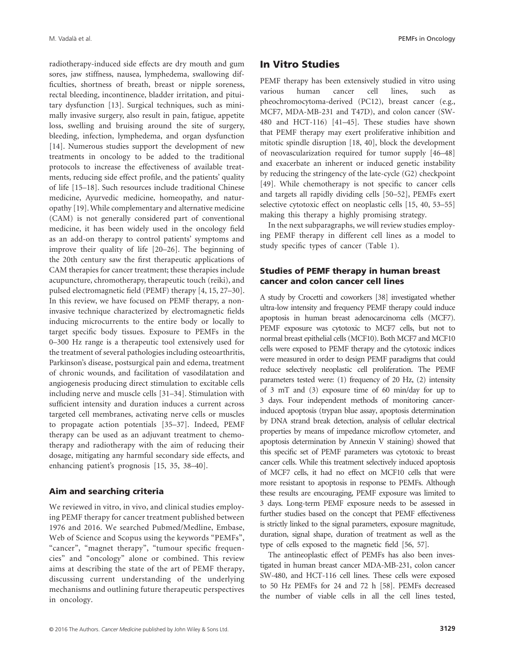M. Vadalà et al. PEMFs in Oncology

radiotherapy-induced side effects are dry mouth and gum sores, jaw stiffness, nausea, lymphedema, swallowing difficulties, shortness of breath, breast or nipple soreness, rectal bleeding, incontinence, bladder irritation, and pituitary dysfunction [13]. Surgical techniques, such as minimally invasive surgery, also result in pain, fatigue, appetite loss, swelling and bruising around the site of surgery, bleeding, infection, lymphedema, and organ dysfunction [14]. Numerous studies support the development of new treatments in oncology to be added to the traditional protocols to increase the effectiveness of available treatments, reducing side effect profile, and the patients' quality of life [15–18]. Such resources include traditional Chinese medicine, Ayurvedic medicine, homeopathy, and naturopathy [19]. While complementary and alternative medicine (CAM) is not generally considered part of conventional medicine, it has been widely used in the oncology field as an add-on therapy to control patients' symptoms and improve their quality of life [20–26]. The beginning of the 20th century saw the first therapeutic applications of CAM therapies for cancer treatment; these therapies include acupuncture, chromotherapy, therapeutic touch (reiki), and pulsed electromagnetic field (PEMF) therapy [4, 15, 27–30]. In this review, we have focused on PEMF therapy, a noninvasive technique characterized by electromagnetic fields inducing microcurrents to the entire body or locally to target specific body tissues. Exposure to PEMFs in the 0–300 Hz range is a therapeutic tool extensively used for the treatment of several pathologies including osteoarthritis, Parkinson's disease, postsurgical pain and edema, treatment of chronic wounds, and facilitation of vasodilatation and angiogenesis producing direct stimulation to excitable cells including nerve and muscle cells [31–34]. Stimulation with sufficient intensity and duration induces a current across targeted cell membranes, activating nerve cells or muscles to propagate action potentials [35–37]. Indeed, PEMF therapy can be used as an adjuvant treatment to chemotherapy and radiotherapy with the aim of reducing their dosage, mitigating any harmful secondary side effects, and enhancing patient's prognosis [15, 35, 38–40].

### Aim and searching criteria

We reviewed in vitro, in vivo, and clinical studies employing PEMF therapy for cancer treatment published between 1976 and 2016. We searched Pubmed/Medline, Embase, Web of Science and Scopus using the keywords "PEMFs", "cancer", "magnet therapy", "tumour specific frequencies" and "oncology" alone or combined. This review aims at describing the state of the art of PEMF therapy, discussing current understanding of the underlying mechanisms and outlining future therapeutic perspectives in oncology.

## In Vitro Studies

PEMF therapy has been extensively studied in vitro using various human cancer cell lines, such as pheochromocytoma-derived (PC12), breast cancer (e.g., MCF7, MDA-MB-231 and T47D), and colon cancer (SW-480 and HCT-116) [41–45]. These studies have shown that PEMF therapy may exert proliferative inhibition and mitotic spindle disruption [18, 40], block the development of neovascularization required for tumor supply [46–48] and exacerbate an inherent or induced genetic instability by reducing the stringency of the late-cycle (G2) checkpoint [49]. While chemotherapy is not specific to cancer cells and targets all rapidly dividing cells [50–52], PEMFs exert selective cytotoxic effect on neoplastic cells [15, 40, 53–55] making this therapy a highly promising strategy.

In the next subparagraphs, we will review studies employing PEMF therapy in different cell lines as a model to study specific types of cancer (Table 1).

# Studies of PEMF therapy in human breast cancer and colon cancer cell lines

A study by Crocetti and coworkers [38] investigated whether ultra-low intensity and frequency PEMF therapy could induce apoptosis in human breast adenocarcinoma cells (MCF7). PEMF exposure was cytotoxic to MCF7 cells, but not to normal breast epithelial cells (MCF10). Both MCF7 and MCF10 cells were exposed to PEMF therapy and the cytotoxic indices were measured in order to design PEMF paradigms that could reduce selectively neoplastic cell proliferation. The PEMF parameters tested were: (1) frequency of 20 Hz, (2) intensity of 3 mT and (3) exposure time of 60 min/day for up to 3 days. Four independent methods of monitoring cancerinduced apoptosis (trypan blue assay, apoptosis determination by DNA strand break detection, analysis of cellular electrical properties by means of impedance microflow cytometer, and apoptosis determination by Annexin V staining) showed that this specific set of PEMF parameters was cytotoxic to breast cancer cells. While this treatment selectively induced apoptosis of MCF7 cells, it had no effect on MCF10 cells that were more resistant to apoptosis in response to PEMFs. Although these results are encouraging, PEMF exposure was limited to 3 days. Long-term PEMF exposure needs to be assessed in further studies based on the concept that PEMF effectiveness is strictly linked to the signal parameters, exposure magnitude, duration, signal shape, duration of treatment as well as the type of cells exposed to the magnetic field [56, 57].

The antineoplastic effect of PEMFs has also been investigated in human breast cancer MDA-MB-231, colon cancer SW-480, and HCT-116 cell lines. These cells were exposed to 50 Hz PEMFs for 24 and 72 h [58]. PEMFs decreased the number of viable cells in all the cell lines tested,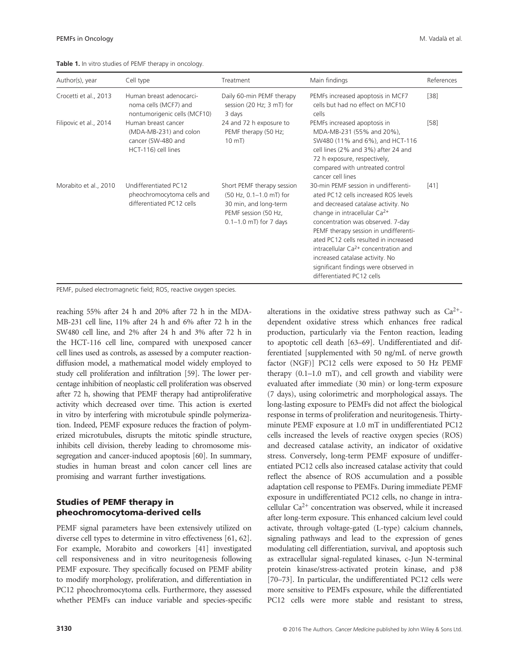| Author(s), year        | Cell type                                                                                  | Treatment                                                                                                                            | Main findings                                                                                                                                                                                                                                                                                                                                                                                                                   | References |
|------------------------|--------------------------------------------------------------------------------------------|--------------------------------------------------------------------------------------------------------------------------------------|---------------------------------------------------------------------------------------------------------------------------------------------------------------------------------------------------------------------------------------------------------------------------------------------------------------------------------------------------------------------------------------------------------------------------------|------------|
| Crocetti et al., 2013  | Human breast adenocarci-<br>noma cells (MCF7) and<br>nontumorigenic cells (MCF10)          | Daily 60-min PEMF therapy<br>session (20 Hz; 3 mT) for<br>3 days                                                                     | PEMFs increased apoptosis in MCF7<br>cells but had no effect on MCF10<br>cells                                                                                                                                                                                                                                                                                                                                                  | $[38]$     |
| Filipovic et al., 2014 | Human breast cancer<br>(MDA-MB-231) and colon<br>cancer (SW-480 and<br>HCT-116) cell lines | 24 and 72 h exposure to<br>PEMF therapy (50 Hz;<br>$10 \text{ mT}$                                                                   | PEMFs increased apoptosis in<br>MDA-MB-231 (55% and 20%),<br>SW480 (11% and 6%), and HCT-116<br>cell lines (2% and 3%) after 24 and<br>72 h exposure, respectively,<br>compared with untreated control<br>cancer cell lines                                                                                                                                                                                                     | $[58]$     |
| Morabito et al., 2010  | Undifferentiated PC12<br>pheochromocytoma cells and<br>differentiated PC12 cells           | Short PEMF therapy session<br>(50 Hz, 0.1–1.0 mT) for<br>30 min, and long-term<br>PEMF session (50 Hz,<br>$0.1 - 1.0$ mT) for 7 days | 30-min PEMF session in undifferenti-<br>ated PC12 cells increased ROS levels<br>and decreased catalase activity. No<br>change in intracellular $Ca2+$<br>concentration was observed. 7-day<br>PEMF therapy session in undifferenti-<br>ated PC12 cells resulted in increased<br>intracellular $Ca2+$ concentration and<br>increased catalase activity. No<br>significant findings were observed in<br>differentiated PC12 cells | $[41]$     |

PEMF, pulsed electromagnetic field; ROS, reactive oxygen species.

reaching 55% after 24 h and 20% after 72 h in the MDA-MB-231 cell line, 11% after 24 h and 6% after 72 h in the SW480 cell line, and 2% after 24 h and 3% after 72 h in the HCT-116 cell line, compared with unexposed cancer cell lines used as controls, as assessed by a computer reactiondiffusion model, a mathematical model widely employed to study cell proliferation and infiltration [59]. The lower percentage inhibition of neoplastic cell proliferation was observed after 72 h, showing that PEMF therapy had antiproliferative activity which decreased over time. This action is exerted in vitro by interfering with microtubule spindle polymerization. Indeed, PEMF exposure reduces the fraction of polymerized microtubules, disrupts the mitotic spindle structure, inhibits cell division, thereby leading to chromosome missegregation and cancer-induced apoptosis [60]. In summary, studies in human breast and colon cancer cell lines are promising and warrant further investigations.

# Studies of PEMF therapy in pheochromocytoma-derived cells

PEMF signal parameters have been extensively utilized on diverse cell types to determine in vitro effectiveness [61, 62]. For example, Morabito and coworkers [41] investigated cell responsiveness and in vitro neuritogenesis following PEMF exposure. They specifically focused on PEMF ability to modify morphology, proliferation, and differentiation in PC12 pheochromocytoma cells. Furthermore, they assessed whether PEMFs can induce variable and species-specific

alterations in the oxidative stress pathway such as  $Ca^{2+}$ dependent oxidative stress which enhances free radical production, particularly via the Fenton reaction, leading to apoptotic cell death [63–69]. Undifferentiated and differentiated [supplemented with 50 ng/mL of nerve growth factor (NGF)] PC12 cells were exposed to 50 Hz PEMF therapy (0.1–1.0 mT), and cell growth and viability were evaluated after immediate (30 min) or long-term exposure (7 days), using colorimetric and morphological assays. The long-lasting exposure to PEMFs did not affect the biological response in terms of proliferation and neuritogenesis. Thirtyminute PEMF exposure at 1.0 mT in undifferentiated PC12 cells increased the levels of reactive oxygen species (ROS) and decreased catalase activity, an indicator of oxidative stress. Conversely, long-term PEMF exposure of undifferentiated PC12 cells also increased catalase activity that could reflect the absence of ROS accumulation and a possible adaptation cell response to PEMFs. During immediate PEMF exposure in undifferentiated PC12 cells, no change in intracellular  $Ca^{2+}$  concentration was observed, while it increased after long-term exposure. This enhanced calcium level could activate, through voltage-gated (L-type) calcium channels, signaling pathways and lead to the expression of genes modulating cell differentiation, survival, and apoptosis such as extracellular signal-regulated kinases, c-Jun N-terminal protein kinase/stress-activated protein kinase, and p38 [70–73]. In particular, the undifferentiated PC12 cells were more sensitive to PEMFs exposure, while the differentiated PC12 cells were more stable and resistant to stress,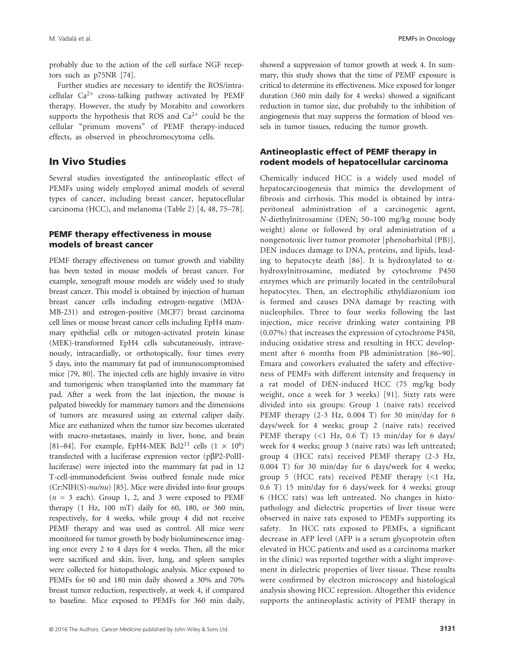probably due to the action of the cell surface NGF receptors such as p75NR [74].

Further studies are necessary to identify the ROS/intracellular  $Ca^{2+}$  cross-talking pathway activated by PEMF therapy. However, the study by Morabito and coworkers supports the hypothesis that ROS and  $Ca^{2+}$  could be the cellular "primum movens" of PEMF therapy-induced effects, as observed in pheochromocytoma cells.

# In Vivo Studies

Several studies investigated the antineoplastic effect of PEMFs using widely employed animal models of several types of cancer, including breast cancer, hepatocellular carcinoma (HCC), and melanoma (Table 2) [4, 48, 75–78].

## PEMF therapy effectiveness in mouse models of breast cancer

PEMF therapy effectiveness on tumor growth and viability has been tested in mouse models of breast cancer. For example, xenograft mouse models are widely used to study breast cancer. This model is obtained by injection of human breast cancer cells including estrogen-negative (MDA-MB-231) and estrogen-positive (MCF7) breast carcinoma cell lines or mouse breast cancer cells including EpH4 mammary epithelial cells or mitogen-activated protein kinase (MEK)-transformed EpH4 cells subcutaneously, intravenously, intracardially, or orthotopically, four times every 5 days, into the mammary fat pad of immunocompromised mice [79, 80]. The injected cells are highly invasive in vitro and tumorigenic when transplanted into the mammary fat pad. After a week from the last injection, the mouse is palpated biweekly for mammary tumors and the dimensions of tumors are measured using an external caliper daily. Mice are euthanized when the tumor size becomes ulcerated with macro-metastases, mainly in liver, bone, and brain [81–84]. For example, EpH4-MEK Bcl2<sup>13</sup> cells  $(1 \times 10^6)$ transfected with a luciferase expression vector (pβP2-PolIIluciferase) were injected into the mammary fat pad in 12 T-cell-immunodeficient Swiss outbred female nude mice (Cr:NIH(S)-*nu/nu*) [85]. Mice were divided into four groups  $(n = 3$  each). Group 1, 2, and 3 were exposed to PEMF therapy (1 Hz, 100 mT) daily for 60, 180, or 360 min, respectively, for 4 weeks, while group 4 did not receive PEMF therapy and was used as control. All mice were monitored for tumor growth by body bioluminescence imaging once every 2 to 4 days for 4 weeks. Then, all the mice were sacrificed and skin, liver, lung, and spleen samples were collected for histopathologic analysis. Mice exposed to PEMFs for 60 and 180 min daily showed a 30% and 70% breast tumor reduction, respectively, at week 4, if compared to baseline. Mice exposed to PEMFs for 360 min daily, showed a suppression of tumor growth at week 4. In summary, this study shows that the time of PEMF exposure is critical to determine its effectiveness. Mice exposed for longer duration (360 min daily for 4 weeks) showed a significant reduction in tumor size, due probabily to the inhibition of angiogenesis that may suppress the formation of blood vessels in tumor tissues, reducing the tumor growth.

# Antineoplastic effect of PEMF therapy in rodent models of hepatocellular carcinoma

Chemically induced HCC is a widely used model of hepatocarcinogenesis that mimics the development of fibrosis and cirrhosis. This model is obtained by intraperitoneal administration of a carcinogenic agent, *N*-diethylnitrosamine (DEN; 50–100 mg/kg mouse body weight) alone or followed by oral administration of a nongenotoxic liver tumor promoter [phenobarbital (PB)]. DEN induces damage to DNA, proteins, and lipids, leading to hepatocyte death [86]. It is hydroxylated to  $\alpha$ hydroxylnitrosamine, mediated by cytochrome P450 enzymes which are primarily located in the centrilobural hepatocytes. Then, an electrophilic ethyldiazonium ion is formed and causes DNA damage by reacting with nucleophiles. Three to four weeks following the last injection, mice receive drinking water containing PB (0.07%) that increases the expression of cytochrome P450, inducing oxidative stress and resulting in HCC development after 6 months from PB administration [86–90]. Emara and coworkers evaluated the safety and effectiveness of PEMFs with different intensity and frequency in a rat model of DEN-induced HCC (75 mg/kg body weight, once a week for 3 weeks) [91]. Sixty rats were divided into six groups: Group 1 (naive rats) received PEMF therapy (2-3 Hz, 0.004 T) for 30 min/day for 6 days/week for 4 weeks; group 2 (naive rats) received PEMF therapy  $(<1$  Hz, 0.6 T) 15 min/day for 6 days/ week for 4 weeks; group 3 (naive rats) was left untreated; group 4 (HCC rats) received PEMF therapy (2-3 Hz, 0.004 T) for 30 min/day for 6 days/week for 4 weeks; group 5 (HCC rats) received PEMF therapy  $(<1$  Hz, 0.6 T) 15 min/day for 6 days/week for 4 weeks; group 6 (HCC rats) was left untreated. No changes in histopathology and dielectric properties of liver tissue were observed in naive rats exposed to PEMFs supporting its safety. In HCC rats exposed to PEMFs, a significant decrease in AFP level (AFP is a serum glycoprotein often elevated in HCC patients and used as a carcinoma marker in the clinic) was reported together with a slight improvement in dielectric properties of liver tissue. These results were confirmed by electron microscopy and histological analysis showing HCC regression. Altogether this evidence supports the antineoplastic activity of PEMF therapy in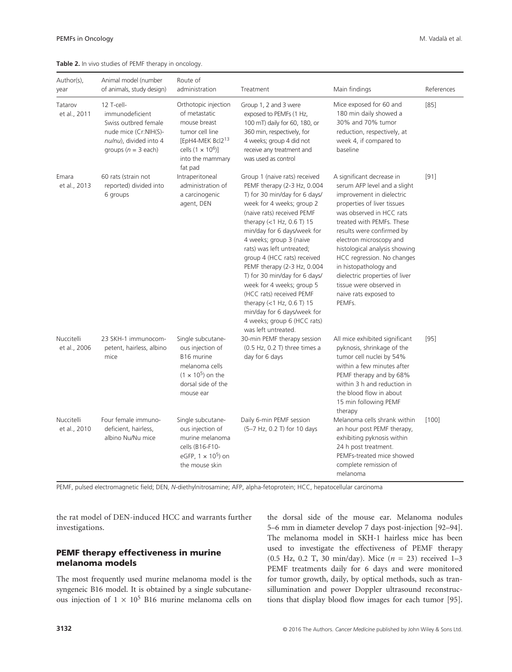#### **Table 2.** In vivo studies of PEMF therapy in oncology.

| Author(s),<br>year         | Animal model (number<br>of animals, study design)                                                                                  | Route of<br>administration                                                                                                                                           | Treatment                                                                                                                                                                                                                                                                                                                                                                                                                                                                                                                                                  | Main findings                                                                                                                                                                                                                                                                                                                                                                                                                  | References |
|----------------------------|------------------------------------------------------------------------------------------------------------------------------------|----------------------------------------------------------------------------------------------------------------------------------------------------------------------|------------------------------------------------------------------------------------------------------------------------------------------------------------------------------------------------------------------------------------------------------------------------------------------------------------------------------------------------------------------------------------------------------------------------------------------------------------------------------------------------------------------------------------------------------------|--------------------------------------------------------------------------------------------------------------------------------------------------------------------------------------------------------------------------------------------------------------------------------------------------------------------------------------------------------------------------------------------------------------------------------|------------|
| Tatarov<br>et al., 2011    | 12 T-cell-<br>immunodeficient<br>Swiss outbred female<br>nude mice (Cr:NIH(S)-<br>nu/nu), divided into 4<br>groups ( $n = 3$ each) | Orthotopic injection<br>of metastatic<br>mouse breast<br>tumor cell line<br>[EpH4-MEK Bcl2 <sup>13</sup><br>cells $(1 \times 10^6)$ ]<br>into the mammary<br>fat pad | Group 1, 2 and 3 were<br>exposed to PEMFs (1 Hz,<br>100 mT) daily for 60, 180, or<br>360 min, respectively, for<br>4 weeks; group 4 did not<br>receive any treatment and<br>was used as control                                                                                                                                                                                                                                                                                                                                                            | Mice exposed for 60 and<br>180 min daily showed a<br>30% and 70% tumor<br>reduction, respectively, at<br>week 4, if compared to<br>baseline                                                                                                                                                                                                                                                                                    | [85]       |
| Emara<br>et al., 2013      | 60 rats (strain not<br>reported) divided into<br>6 groups                                                                          | Intraperitoneal<br>administration of<br>a carcinogenic<br>agent, DEN                                                                                                 | Group 1 (naive rats) received<br>PEMF therapy (2-3 Hz, 0.004<br>T) for 30 min/day for 6 days/<br>week for 4 weeks; group 2<br>(naive rats) received PEMF<br>therapy $(<1$ Hz, 0.6 T) 15<br>min/day for 6 days/week for<br>4 weeks; group 3 (naive<br>rats) was left untreated;<br>group 4 (HCC rats) received<br>PEMF therapy (2-3 Hz, 0.004<br>T) for 30 min/day for 6 days/<br>week for 4 weeks; group 5<br>(HCC rats) received PEMF<br>therapy $(<1$ Hz, 0.6 T) 15<br>min/day for 6 days/week for<br>4 weeks; group 6 (HCC rats)<br>was left untreated. | A significant decrease in<br>serum AFP level and a slight<br>improvement in dielectric<br>properties of liver tissues<br>was observed in HCC rats<br>treated with PEMFs. These<br>results were confirmed by<br>electron microscopy and<br>histological analysis showing<br>HCC regression. No changes<br>in histopathology and<br>dielectric properties of liver<br>tissue were observed in<br>naive rats exposed to<br>PEMFs. | $[91]$     |
| Nuccitelli<br>et al., 2006 | 23 SKH-1 immunocom-<br>petent, hairless, albino<br>mice                                                                            | Single subcutane-<br>ous injection of<br>B <sub>16</sub> murine<br>melanoma cells<br>$(1 \times 10^5)$ on the<br>dorsal side of the<br>mouse ear                     | 30-min PEMF therapy session<br>(0.5 Hz, 0.2 T) three times a<br>day for 6 days                                                                                                                                                                                                                                                                                                                                                                                                                                                                             | All mice exhibited significant<br>pyknosis, shrinkage of the<br>tumor cell nuclei by 54%<br>within a few minutes after<br>PEMF therapy and by 68%<br>within 3 h and reduction in<br>the blood flow in about<br>15 min following PEMF<br>therapy                                                                                                                                                                                | $[95]$     |
| Nuccitelli<br>et al., 2010 | Four female immuno-<br>deficient, hairless,<br>albino Nu/Nu mice                                                                   | Single subcutane-<br>ous injection of<br>murine melanoma<br>cells (B16-F10-<br>eGFP, $1 \times 10^5$ ) on<br>the mouse skin                                          | Daily 6-min PEMF session<br>(5-7 Hz, 0.2 T) for 10 days                                                                                                                                                                                                                                                                                                                                                                                                                                                                                                    | Melanoma cells shrank within<br>an hour post PEMF therapy,<br>exhibiting pyknosis within<br>24 h post treatment.<br>PEMFs-treated mice showed<br>complete remission of<br>melanoma                                                                                                                                                                                                                                             | [100]      |

PEMF, pulsed electromagnetic field; DEN, *N*-diethylnitrosamine; AFP, alpha-fetoprotein; HCC, hepatocellular carcinoma

the rat model of DEN-induced HCC and warrants further investigations.

# PEMF therapy effectiveness in murine melanoma models

The most frequently used murine melanoma model is the syngeneic B16 model. It is obtained by a single subcutaneous injection of  $1 \times 10^5$  B16 murine melanoma cells on the dorsal side of the mouse ear. Melanoma nodules 5–6 mm in diameter develop 7 days post-injection [92–94]. The melanoma model in SKH-1 hairless mice has been used to investigate the effectiveness of PEMF therapy (0.5 Hz, 0.2 T, 30 min/day). Mice (*n* = 23) received 1–3 PEMF treatments daily for 6 days and were monitored for tumor growth, daily, by optical methods, such as transillumination and power Doppler ultrasound reconstructions that display blood flow images for each tumor [95].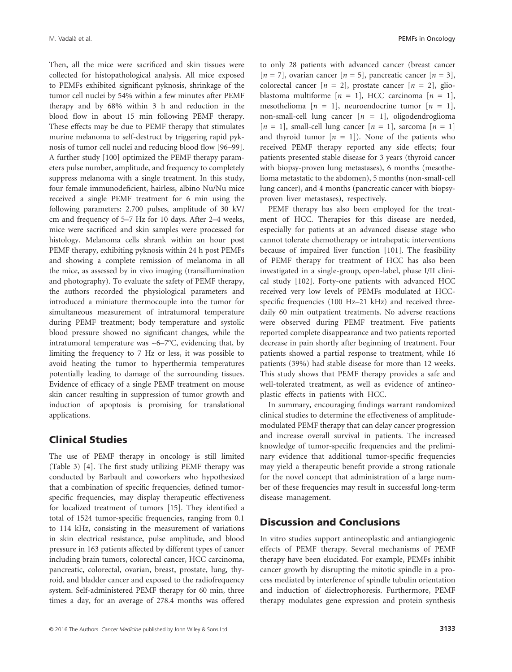Then, all the mice were sacrificed and skin tissues were collected for histopathological analysis. All mice exposed to PEMFs exhibited significant pyknosis, shrinkage of the tumor cell nuclei by 54% within a few minutes after PEMF therapy and by 68% within 3 h and reduction in the blood flow in about 15 min following PEMF therapy. These effects may be due to PEMF therapy that stimulates murine melanoma to self-destruct by triggering rapid pyknosis of tumor cell nuclei and reducing blood flow [96–99]. A further study [100] optimized the PEMF therapy parameters pulse number, amplitude, and frequency to completely suppress melanoma with a single treatment. In this study, four female immunodeficient, hairless, albino Nu/Nu mice received a single PEMF treatment for 6 min using the following parameters: 2.700 pulses, amplitude of 30 kV/ cm and frequency of 5–7 Hz for 10 days. After 2–4 weeks, mice were sacrificed and skin samples were processed for histology. Melanoma cells shrank within an hour post PEMF therapy, exhibiting pyknosis within 24 h post PEMFs and showing a complete remission of melanoma in all the mice, as assessed by in vivo imaging (transillumination and photography). To evaluate the safety of PEMF therapy, the authors recorded the physiological parameters and introduced a miniature thermocouple into the tumor for simultaneous measurement of intratumoral temperature during PEMF treatment; body temperature and systolic blood pressure showed no significant changes, while the intratumoral temperature was  $\sim 6-7$ °C, evidencing that, by limiting the frequency to 7 Hz or less, it was possible to avoid heating the tumor to hyperthermia temperatures potentially leading to damage of the surrounding tissues. Evidence of efficacy of a single PEMF treatment on mouse skin cancer resulting in suppression of tumor growth and induction of apoptosis is promising for translational applications.

# Clinical Studies

The use of PEMF therapy in oncology is still limited (Table 3) [4]. The first study utilizing PEMF therapy was conducted by Barbault and coworkers who hypothesized that a combination of specific frequencies, defined tumorspecific frequencies, may display therapeutic effectiveness for localized treatment of tumors [15]. They identified a total of 1524 tumor-specific frequencies, ranging from 0.1 to 114 kHz, consisting in the measurement of variations in skin electrical resistance, pulse amplitude, and blood pressure in 163 patients affected by different types of cancer including brain tumors, colorectal cancer, HCC carcinoma, pancreatic, colorectal, ovarian, breast, prostate, lung, thyroid, and bladder cancer and exposed to the radiofrequency system. Self-administered PEMF therapy for 60 min, three times a day, for an average of 278.4 months was offered to only 28 patients with advanced cancer (breast cancer  $[n = 7]$ , ovarian cancer  $[n = 5]$ , pancreatic cancer  $[n = 3]$ , colorectal cancer  $[n = 2]$ , prostate cancer  $[n = 2]$ , glioblastoma multiforme  $[n = 1]$ , HCC carcinoma  $[n = 1]$ , mesothelioma  $[n = 1]$ , neuroendocrine tumor  $[n = 1]$ , non-small-cell lung cancer  $[n = 1]$ , oligodendroglioma  $[n = 1]$ , small-cell lung cancer  $[n = 1]$ , sarcoma  $[n = 1]$ and thyroid tumor  $[n = 1]$ ). None of the patients who received PEMF therapy reported any side effects; four patients presented stable disease for 3 years (thyroid cancer with biopsy-proven lung metastases), 6 months (mesothelioma metastatic to the abdomen), 5 months (non-small-cell lung cancer), and 4 months (pancreatic cancer with biopsyproven liver metastases), respectively.

PEMF therapy has also been employed for the treatment of HCC. Therapies for this disease are needed, especially for patients at an advanced disease stage who cannot tolerate chemotherapy or intrahepatic interventions because of impaired liver function [101]. The feasibility of PEMF therapy for treatment of HCC has also been investigated in a single-group, open-label, phase I/II clinical study [102]. Forty-one patients with advanced HCC received very low levels of PEMFs modulated at HCCspecific frequencies (100 Hz–21 kHz) and received threedaily 60 min outpatient treatments. No adverse reactions were observed during PEMF treatment. Five patients reported complete disappearance and two patients reported decrease in pain shortly after beginning of treatment. Four patients showed a partial response to treatment, while 16 patients (39%) had stable disease for more than 12 weeks. This study shows that PEMF therapy provides a safe and well-tolerated treatment, as well as evidence of antineoplastic effects in patients with HCC.

In summary, encouraging findings warrant randomized clinical studies to determine the effectiveness of amplitudemodulated PEMF therapy that can delay cancer progression and increase overall survival in patients. The increased knowledge of tumor-specific frequencies and the preliminary evidence that additional tumor-specific frequencies may yield a therapeutic benefit provide a strong rationale for the novel concept that administration of a large number of these frequencies may result in successful long-term disease management.

# Discussion and Conclusions

In vitro studies support antineoplastic and antiangiogenic effects of PEMF therapy. Several mechanisms of PEMF therapy have been elucidated. For example, PEMFs inhibit cancer growth by disrupting the mitotic spindle in a process mediated by interference of spindle tubulin orientation and induction of dielectrophoresis. Furthermore, PEMF therapy modulates gene expression and protein synthesis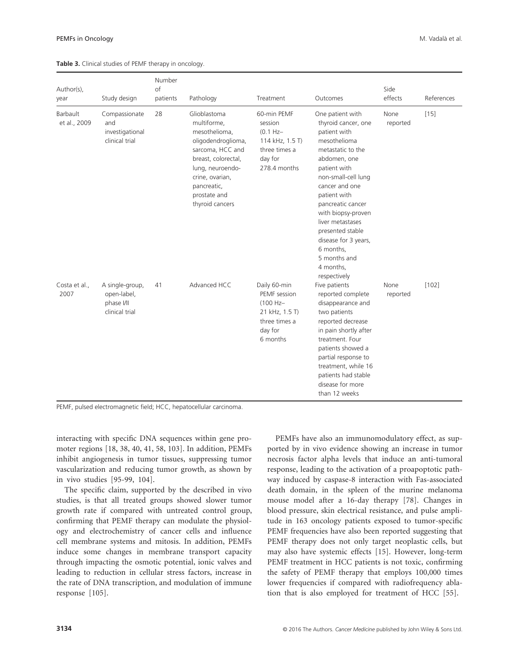| Author(s),<br>year       | Study design                                                   | Number<br>$\circ$ f<br>patients | Pathology                                                                                                                                                                                              | Treatment                                                                                            | Outcomes                                                                                                                                                                                                                                                                                                                                                   | Side<br>effects  | References |
|--------------------------|----------------------------------------------------------------|---------------------------------|--------------------------------------------------------------------------------------------------------------------------------------------------------------------------------------------------------|------------------------------------------------------------------------------------------------------|------------------------------------------------------------------------------------------------------------------------------------------------------------------------------------------------------------------------------------------------------------------------------------------------------------------------------------------------------------|------------------|------------|
| Barbault<br>et al., 2009 | Compassionate<br>and<br>investigational<br>clinical trial      | 28                              | Glioblastoma<br>multiforme.<br>mesothelioma,<br>oligodendroglioma,<br>sarcoma, HCC and<br>breast, colorectal,<br>lung, neuroendo-<br>crine, ovarian,<br>pancreatic,<br>prostate and<br>thyroid cancers | 60-min PEMF<br>session<br>$(0.1 Hz -$<br>114 kHz, 1.5 T)<br>three times a<br>day for<br>278.4 months | One patient with<br>thyroid cancer, one<br>patient with<br>mesothelioma<br>metastatic to the<br>abdomen, one<br>patient with<br>non-small-cell lung<br>cancer and one<br>patient with<br>pancreatic cancer<br>with biopsy-proven<br>liver metastases<br>presented stable<br>disease for 3 years,<br>6 months,<br>5 months and<br>4 months,<br>respectively | None<br>reported | $[15]$     |
| Costa et al.,<br>2007    | A single-group,<br>open-label,<br>phase I/II<br>clinical trial | 41                              | Advanced HCC                                                                                                                                                                                           | Daily 60-min<br>PEMF session<br>(100 Hz-<br>21 kHz, 1.5 T)<br>three times a<br>day for<br>6 months   | Five patients<br>reported complete<br>disappearance and<br>two patients<br>reported decrease<br>in pain shortly after<br>treatment. Four<br>patients showed a<br>partial response to<br>treatment, while 16<br>patients had stable<br>disease for more<br>than 12 weeks                                                                                    | None<br>reported | [102]      |

**Table 3.** Clinical studies of PEMF therapy in oncology.

PEMF, pulsed electromagnetic field; HCC, hepatocellular carcinoma.

interacting with specific DNA sequences within gene promoter regions [18, 38, 40, 41, 58, 103]. In addition, PEMFs inhibit angiogenesis in tumor tissues, suppressing tumor vascularization and reducing tumor growth, as shown by in vivo studies [95-99, 104].

The specific claim, supported by the described in vivo studies, is that all treated groups showed slower tumor growth rate if compared with untreated control group, confirming that PEMF therapy can modulate the physiology and electrochemistry of cancer cells and influence cell membrane systems and mitosis. In addition, PEMFs induce some changes in membrane transport capacity through impacting the osmotic potential, ionic valves and leading to reduction in cellular stress factors, increase in the rate of DNA transcription, and modulation of immune response [105].

PEMFs have also an immunomodulatory effect, as supported by in vivo evidence showing an increase in tumor necrosis factor alpha levels that induce an anti-tumoral response, leading to the activation of a proapoptotic pathway induced by caspase-8 interaction with Fas-associated death domain, in the spleen of the murine melanoma mouse model after a 16-day therapy [78]. Changes in blood pressure, skin electrical resistance, and pulse amplitude in 163 oncology patients exposed to tumor-specific PEMF frequencies have also been reported suggesting that PEMF therapy does not only target neoplastic cells, but may also have systemic effects [15]. However, long-term PEMF treatment in HCC patients is not toxic, confirming the safety of PEMF therapy that employs 100,000 times lower frequencies if compared with radiofrequency ablation that is also employed for treatment of HCC [55].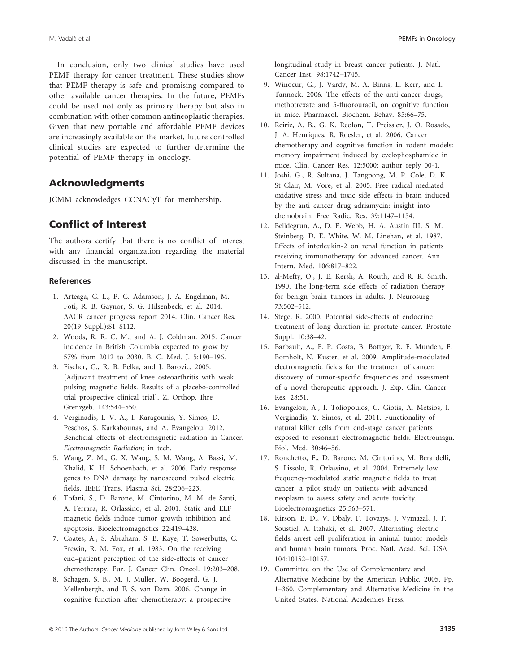In conclusion, only two clinical studies have used PEMF therapy for cancer treatment. These studies show that PEMF therapy is safe and promising compared to other available cancer therapies. In the future, PEMFs could be used not only as primary therapy but also in combination with other common antineoplastic therapies. Given that new portable and affordable PEMF devices are increasingly available on the market, future controlled clinical studies are expected to further determine the potential of PEMF therapy in oncology.

# Acknowledgments

JCMM acknowledges CONACyT for membership.

# Conflict of Interest

The authors certify that there is no conflict of interest with any financial organization regarding the material discussed in the manuscript.

## **References**

- 1. Arteaga, C. L., P. C. Adamson, J. A. Engelman, M. Foti, R. B. Gaynor, S. G. Hilsenbeck, et al. 2014. AACR cancer progress report 2014. Clin. Cancer Res. 20(19 Suppl.):S1–S112.
- 2. Woods, R. R. C. M., and A. J. Coldman. 2015. Cancer incidence in British Columbia expected to grow by 57% from 2012 to 2030. B. C. Med. J. 5:190–196.
- 3. Fischer, G., R. B. Pelka, and J. Barovic. 2005. [Adjuvant treatment of knee osteoarthritis with weak pulsing magnetic fields. Results of a placebo-controlled trial prospective clinical trial]. Z. Orthop. Ihre Grenzgeb. 143:544–550.
- 4. Verginadis, I. V. A., I. Karagounis, Y. Simos, D. Peschos, S. Karkabounas, and A. Evangelou. 2012. Beneficial effects of electromagnetic radiation in Cancer. *Electromagnetic Radiation*; in tech.
- 5. Wang, Z. M., G. X. Wang, S. M. Wang, A. Bassi, M. Khalid, K. H. Schoenbach, et al. 2006. Early response genes to DNA damage by nanosecond pulsed electric fields. IEEE Trans. Plasma Sci. 28:206–223.
- 6. Tofani, S., D. Barone, M. Cintorino, M. M. de Santi, A. Ferrara, R. Orlassino, et al. 2001. Static and ELF magnetic fields induce tumor growth inhibition and apoptosis. Bioelectromagnetics 22:419–428.
- 7. Coates, A., S. Abraham, S. B. Kaye, T. Sowerbutts, C. Frewin, R. M. Fox, et al. 1983. On the receiving end–patient perception of the side-effects of cancer chemotherapy. Eur. J. Cancer Clin. Oncol. 19:203–208.
- 8. Schagen, S. B., M. J. Muller, W. Boogerd, G. J. Mellenbergh, and F. S. van Dam. 2006. Change in cognitive function after chemotherapy: a prospective

longitudinal study in breast cancer patients. J. Natl. Cancer Inst. 98:1742–1745.

- 9. Winocur, G., J. Vardy, M. A. Binns, L. Kerr, and I. Tannock. 2006. The effects of the anti-cancer drugs, methotrexate and 5-fluorouracil, on cognitive function in mice. Pharmacol. Biochem. Behav. 85:66–75.
- 10. Reiriz, A. B., G. K. Reolon, T. Preissler, J. O. Rosado, J. A. Henriques, R. Roesler, et al. 2006. Cancer chemotherapy and cognitive function in rodent models: memory impairment induced by cyclophosphamide in mice. Clin. Cancer Res. 12:5000; author reply 00-1.
- 11. Joshi, G., R. Sultana, J. Tangpong, M. P. Cole, D. K. St Clair, M. Vore, et al. 2005. Free radical mediated oxidative stress and toxic side effects in brain induced by the anti cancer drug adriamycin: insight into chemobrain. Free Radic. Res. 39:1147–1154.
- 12. Belldegrun, A., D. E. Webb, H. A. Austin III, S. M. Steinberg, D. E. White, W. M. Linehan, et al. 1987. Effects of interleukin-2 on renal function in patients receiving immunotherapy for advanced cancer. Ann. Intern. Med. 106:817–822.
- 13. al-Mefty, O., J. E. Kersh, A. Routh, and R. R. Smith. 1990. The long-term side effects of radiation therapy for benign brain tumors in adults. J. Neurosurg. 73:502–512.
- 14. Stege, R. 2000. Potential side-effects of endocrine treatment of long duration in prostate cancer. Prostate Suppl. 10:38–42.
- 15. Barbault, A., F. P. Costa, B. Bottger, R. F. Munden, F. Bomholt, N. Kuster, et al. 2009. Amplitude-modulated electromagnetic fields for the treatment of cancer: discovery of tumor-specific frequencies and assessment of a novel therapeutic approach. J. Exp. Clin. Cancer Res. 28:51.
- 16. Evangelou, A., I. Toliopoulos, C. Giotis, A. Metsios, I. Verginadis, Y. Simos, et al. 2011. Functionality of natural killer cells from end-stage cancer patients exposed to resonant electromagnetic fields. Electromagn. Biol. Med. 30:46–56.
- 17. Ronchetto, F., D. Barone, M. Cintorino, M. Berardelli, S. Lissolo, R. Orlassino, et al. 2004. Extremely low frequency-modulated static magnetic fields to treat cancer: a pilot study on patients with advanced neoplasm to assess safety and acute toxicity. Bioelectromagnetics 25:563–571.
- 18. Kirson, E. D., V. Dbaly, F. Tovarys, J. Vymazal, J. F. Soustiel, A. Itzhaki, et al. 2007. Alternating electric fields arrest cell proliferation in animal tumor models and human brain tumors. Proc. Natl. Acad. Sci. USA 104:10152–10157.
- 19. Committee on the Use of Complementary and Alternative Medicine by the American Public. 2005. Pp. 1–360. Complementary and Alternative Medicine in the United States. National Academies Press.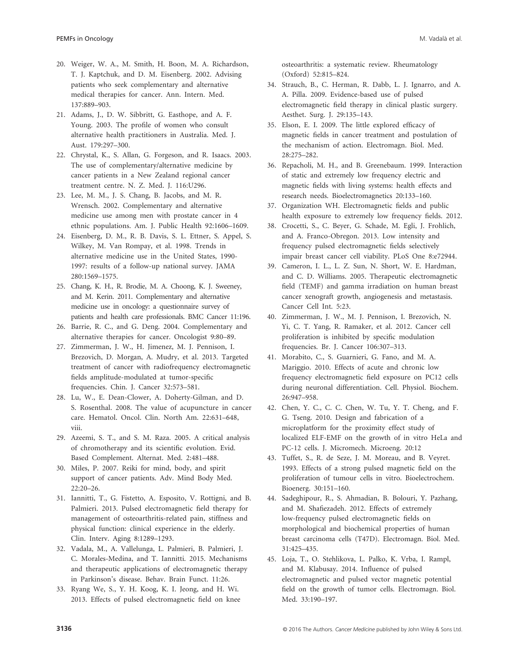- 20. Weiger, W. A., M. Smith, H. Boon, M. A. Richardson, T. J. Kaptchuk, and D. M. Eisenberg. 2002. Advising patients who seek complementary and alternative medical therapies for cancer. Ann. Intern. Med. 137:889–903.
- 21. Adams, J., D. W. Sibbritt, G. Easthope, and A. F. Young. 2003. The profile of women who consult alternative health practitioners in Australia. Med. J. Aust. 179:297–300.
- 22. Chrystal, K., S. Allan, G. Forgeson, and R. Isaacs. 2003. The use of complementary/alternative medicine by cancer patients in a New Zealand regional cancer treatment centre. N. Z. Med. J. 116:U296.
- 23. Lee, M. M., J. S. Chang, B. Jacobs, and M. R. Wrensch. 2002. Complementary and alternative medicine use among men with prostate cancer in 4 ethnic populations. Am. J. Public Health 92:1606–1609.
- 24. Eisenberg, D. M., R. B. Davis, S. L. Ettner, S. Appel, S. Wilkey, M. Van Rompay, et al. 1998. Trends in alternative medicine use in the United States, 1990- 1997: results of a follow-up national survey. JAMA 280:1569–1575.
- 25. Chang, K. H., R. Brodie, M. A. Choong, K. J. Sweeney, and M. Kerin. 2011. Complementary and alternative medicine use in oncology: a questionnaire survey of patients and health care professionals. BMC Cancer 11:196.
- 26. Barrie, R. C., and G. Deng. 2004. Complementary and alternative therapies for cancer. Oncologist 9:80–89.
- 27. Zimmerman, J. W., H. Jimenez, M. J. Pennison, I. Brezovich, D. Morgan, A. Mudry, et al. 2013. Targeted treatment of cancer with radiofrequency electromagnetic fields amplitude-modulated at tumor-specific frequencies. Chin. J. Cancer 32:573–581.
- 28. Lu, W., E. Dean-Clower, A. Doherty-Gilman, and D. S. Rosenthal. 2008. The value of acupuncture in cancer care. Hematol. Oncol. Clin. North Am. 22:631–648, viii.
- 29. Azeemi, S. T., and S. M. Raza. 2005. A critical analysis of chromotherapy and its scientific evolution. Evid. Based Complement. Alternat. Med. 2:481–488.
- 30. Miles, P. 2007. Reiki for mind, body, and spirit support of cancer patients. Adv. Mind Body Med. 22:20–26.
- 31. Iannitti, T., G. Fistetto, A. Esposito, V. Rottigni, and B. Palmieri. 2013. Pulsed electromagnetic field therapy for management of osteoarthritis-related pain, stiffness and physical function: clinical experience in the elderly. Clin. Interv. Aging 8:1289–1293.
- 32. Vadala, M., A. Vallelunga, L. Palmieri, B. Palmieri, J. C. Morales-Medina, and T. Iannitti. 2015. Mechanisms and therapeutic applications of electromagnetic therapy in Parkinson's disease. Behav. Brain Funct. 11:26.
- 33. Ryang We, S., Y. H. Koog, K. I. Jeong, and H. Wi. 2013. Effects of pulsed electromagnetic field on knee

osteoarthritis: a systematic review. Rheumatology (Oxford) 52:815–824.

- 34. Strauch, B., C. Herman, R. Dabb, L. J. Ignarro, and A. A. Pilla. 2009. Evidence-based use of pulsed electromagnetic field therapy in clinical plastic surgery. Aesthet. Surg. J. 29:135–143.
- 35. Elson, E. I. 2009. The little explored efficacy of magnetic fields in cancer treatment and postulation of the mechanism of action. Electromagn. Biol. Med. 28:275–282.
- 36. Repacholi, M. H., and B. Greenebaum. 1999. Interaction of static and extremely low frequency electric and magnetic fields with living systems: health effects and research needs. Bioelectromagnetics 20:133–160.
- 37. Organization WH. Electromagnetic fields and public health exposure to extremely low frequency fields. 2012.
- 38. Crocetti, S., C. Beyer, G. Schade, M. Egli, J. Frohlich, and A. Franco-Obregon. 2013. Low intensity and frequency pulsed electromagnetic fields selectively impair breast cancer cell viability. PLoS One 8:e72944.
- 39. Cameron, I. L., L. Z. Sun, N. Short, W. E. Hardman, and C. D. Williams. 2005. Therapeutic electromagnetic field (TEMF) and gamma irradiation on human breast cancer xenograft growth, angiogenesis and metastasis. Cancer Cell Int. 5:23.
- 40. Zimmerman, J. W., M. J. Pennison, I. Brezovich, N. Yi, C. T. Yang, R. Ramaker, et al. 2012. Cancer cell proliferation is inhibited by specific modulation frequencies. Br. J. Cancer 106:307–313.
- 41. Morabito, C., S. Guarnieri, G. Fano, and M. A. Mariggio. 2010. Effects of acute and chronic low frequency electromagnetic field exposure on PC12 cells during neuronal differentiation. Cell. Physiol. Biochem. 26:947–958.
- 42. Chen, Y. C., C. C. Chen, W. Tu, Y. T. Cheng, and F. G. Tseng. 2010. Design and fabrication of a microplatform for the proximity effect study of localized ELF-EMF on the growth of in vitro HeLa and PC-12 cells. J. Micromech. Microeng. 20:12
- 43. Tuffet, S., R. de Seze, J. M. Moreau, and B. Veyret. 1993. Effects of a strong pulsed magnetic field on the proliferation of tumour cells in vitro. Bioelectrochem. Bioenerg. 30:151–160.
- 44. Sadeghipour, R., S. Ahmadian, B. Bolouri, Y. Pazhang, and M. Shafiezadeh. 2012. Effects of extremely low-frequency pulsed electromagnetic fields on morphological and biochemical properties of human breast carcinoma cells (T47D). Electromagn. Biol. Med. 31:425–435.
- 45. Loja, T., O. Stehlikova, L. Palko, K. Vrba, I. Rampl, and M. Klabusay. 2014. Influence of pulsed electromagnetic and pulsed vector magnetic potential field on the growth of tumor cells. Electromagn. Biol. Med. 33:190–197.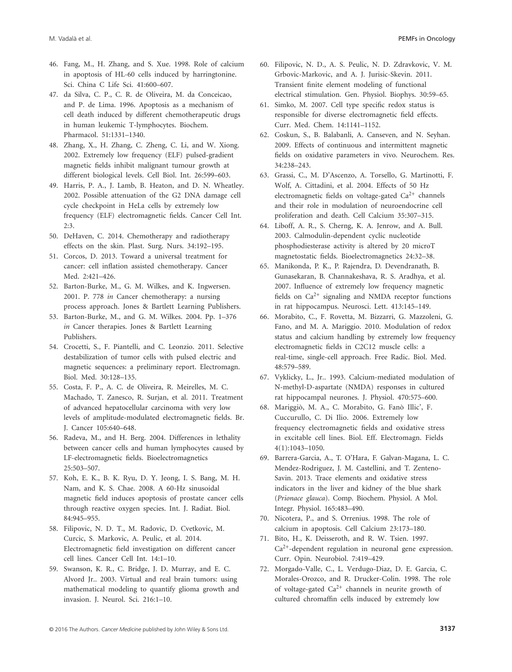- 46. Fang, M., H. Zhang, and S. Xue. 1998. Role of calcium in apoptosis of HL-60 cells induced by harringtonine. Sci. China C Life Sci. 41:600–607.
- 47. da Silva, C. P., C. R. de Oliveira, M. da Conceicao, and P. de Lima. 1996. Apoptosis as a mechanism of cell death induced by different chemotherapeutic drugs in human leukemic T-lymphocytes. Biochem. Pharmacol. 51:1331–1340.
- 48. Zhang, X., H. Zhang, C. Zheng, C. Li, and W. Xiong. 2002. Extremely low frequency (ELF) pulsed-gradient magnetic fields inhibit malignant tumour growth at different biological levels. Cell Biol. Int. 26:599–603.
- 49. Harris, P. A., J. Lamb, B. Heaton, and D. N. Wheatley. 2002. Possible attenuation of the G2 DNA damage cell cycle checkpoint in HeLa cells by extremely low frequency (ELF) electromagnetic fields. Cancer Cell Int. 2:3.
- 50. DeHaven, C. 2014. Chemotherapy and radiotherapy effects on the skin. Plast. Surg. Nurs. 34:192–195.
- 51. Corcos, D. 2013. Toward a universal treatment for cancer: cell inflation assisted chemotherapy. Cancer Med. 2:421–426.
- 52. Barton-Burke, M., G. M. Wilkes, and K. Ingwersen. 2001. P. 778 *in* Cancer chemotherapy: a nursing process approach. Jones & Bartlett Learning Publishers.
- 53. Barton-Burke, M., and G. M. Wilkes. 2004. Pp. 1–376 *in* Cancer therapies. Jones & Bartlett Learning Publishers.
- 54. Crocetti, S., F. Piantelli, and C. Leonzio. 2011. Selective destabilization of tumor cells with pulsed electric and magnetic sequences: a preliminary report. Electromagn. Biol. Med. 30:128–135.
- 55. Costa, F. P., A. C. de Oliveira, R. Meirelles, M. C. Machado, T. Zanesco, R. Surjan, et al. 2011. Treatment of advanced hepatocellular carcinoma with very low levels of amplitude-modulated electromagnetic fields. Br. J. Cancer 105:640–648.
- 56. Radeva, M., and H. Berg. 2004. Differences in lethality between cancer cells and human lymphocytes caused by LF-electromagnetic fields. Bioelectromagnetics 25:503–507.
- 57. Koh, E. K., B. K. Ryu, D. Y. Jeong, I. S. Bang, M. H. Nam, and K. S. Chae. 2008. A 60-Hz sinusoidal magnetic field induces apoptosis of prostate cancer cells through reactive oxygen species. Int. J. Radiat. Biol. 84:945–955.
- 58. Filipovic, N. D. T., M. Radovic, D. Cvetkovic, M. Curcic, S. Markovic, A. Peulic, et al. 2014. Electromagnetic field investigation on different cancer cell lines. Cancer Cell Int. 14:1–10.
- 59. Swanson, K. R., C. Bridge, J. D. Murray, and E. C. Alvord Jr.. 2003. Virtual and real brain tumors: using mathematical modeling to quantify glioma growth and invasion. J. Neurol. Sci. 216:1–10.
- 60. Filipovic, N. D., A. S. Peulic, N. D. Zdravkovic, V. M. Grbovic-Markovic, and A. J. Jurisic-Skevin. 2011. Transient finite element modeling of functional electrical stimulation. Gen. Physiol. Biophys. 30:59–65.
- 61. Simko, M. 2007. Cell type specific redox status is responsible for diverse electromagnetic field effects. Curr. Med. Chem. 14:1141–1152.
- 62. Coskun, S., B. Balabanli, A. Canseven, and N. Seyhan. 2009. Effects of continuous and intermittent magnetic fields on oxidative parameters in vivo. Neurochem. Res. 34:238–243.
- 63. Grassi, C., M. D'Ascenzo, A. Torsello, G. Martinotti, F. Wolf, A. Cittadini, et al. 2004. Effects of 50 Hz electromagnetic fields on voltage-gated  $Ca^{2+}$  channels and their role in modulation of neuroendocrine cell proliferation and death. Cell Calcium 35:307–315.
- 64. Liboff, A. R., S. Cherng, K. A. Jenrow, and A. Bull. 2003. Calmodulin-dependent cyclic nucleotide phosphodiesterase activity is altered by 20 microT magnetostatic fields. Bioelectromagnetics 24:32–38.
- 65. Manikonda, P. K., P. Rajendra, D. Devendranath, B. Gunasekaran, B. Channakeshava, R. S. Aradhya, et al. 2007. Influence of extremely low frequency magnetic fields on  $Ca^{2+}$  signaling and NMDA receptor functions in rat hippocampus. Neurosci. Lett. 413:145–149.
- 66. Morabito, C., F. Rovetta, M. Bizzarri, G. Mazzoleni, G. Fano, and M. A. Mariggio. 2010. Modulation of redox status and calcium handling by extremely low frequency electromagnetic fields in C2C12 muscle cells: a real-time, single-cell approach. Free Radic. Biol. Med. 48:579–589.
- 67. Vyklicky, L., Jr.. 1993. Calcium-mediated modulation of N-methyl-D-aspartate (NMDA) responses in cultured rat hippocampal neurones. J. Physiol. 470:575–600.
- 68. Mariggiò, M. A., C. Morabito, G. Fanò Illic', F. Cuccurullo, C. Di Ilio. 2006. Extremely low frequency electromagnetic fields and oxidative stress in excitable cell lines. Biol. Eff. Electromagn. Fields 4(1):1043–1050.
- 69. Barrera-Garcia, A., T. O'Hara, F. Galvan-Magana, L. C. Mendez-Rodriguez, J. M. Castellini, and T. Zenteno-Savin. 2013. Trace elements and oxidative stress indicators in the liver and kidney of the blue shark (*Prionace glauca*). Comp. Biochem. Physiol. A Mol. Integr. Physiol. 165:483–490.
- 70. Nicotera, P., and S. Orrenius. 1998. The role of calcium in apoptosis. Cell Calcium 23:173–180.
- 71. Bito, H., K. Deisseroth, and R. W. Tsien. 1997.  $Ca<sup>2+</sup>$ -dependent regulation in neuronal gene expression. Curr. Opin. Neurobiol. 7:419–429.
- 72. Morgado-Valle, C., L. Verdugo-Diaz, D. E. Garcia, C. Morales-Orozco, and R. Drucker-Colin. 1998. The role of voltage-gated  $Ca^{2+}$  channels in neurite growth of cultured chromaffin cells induced by extremely low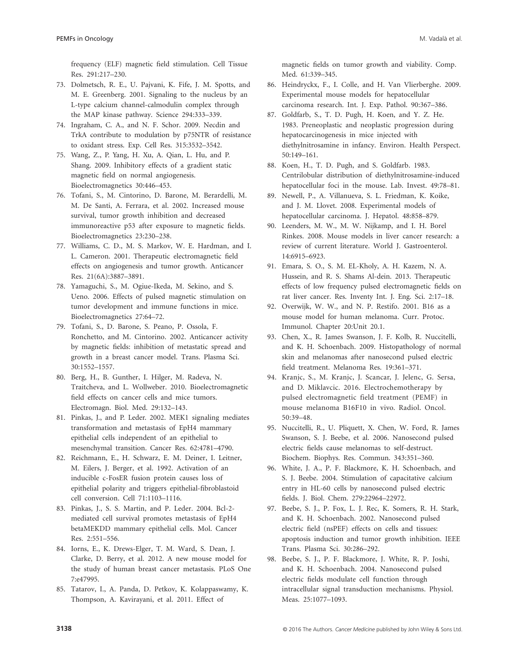frequency (ELF) magnetic field stimulation. Cell Tissue Res. 291:217–230.

- 73. Dolmetsch, R. E., U. Pajvani, K. Fife, J. M. Spotts, and M. E. Greenberg. 2001. Signaling to the nucleus by an L-type calcium channel-calmodulin complex through the MAP kinase pathway. Science 294:333–339.
- 74. Ingraham, C. A., and N. F. Schor. 2009. Necdin and TrkA contribute to modulation by p75NTR of resistance to oxidant stress. Exp. Cell Res. 315:3532–3542.
- 75. Wang, Z., P. Yang, H. Xu, A. Qian, L. Hu, and P. Shang. 2009. Inhibitory effects of a gradient static magnetic field on normal angiogenesis. Bioelectromagnetics 30:446–453.
- 76. Tofani, S., M. Cintorino, D. Barone, M. Berardelli, M. M. De Santi, A. Ferrara, et al. 2002. Increased mouse survival, tumor growth inhibition and decreased immunoreactive p53 after exposure to magnetic fields. Bioelectromagnetics 23:230–238.
- 77. Williams, C. D., M. S. Markov, W. E. Hardman, and I. L. Cameron. 2001. Therapeutic electromagnetic field effects on angiogenesis and tumor growth. Anticancer Res. 21(6A):3887–3891.
- 78. Yamaguchi, S., M. Ogiue-Ikeda, M. Sekino, and S. Ueno. 2006. Effects of pulsed magnetic stimulation on tumor development and immune functions in mice. Bioelectromagnetics 27:64–72.
- 79. Tofani, S., D. Barone, S. Peano, P. Ossola, F. Ronchetto, and M. Cintorino. 2002. Anticancer activity by magnetic fields: inhibition of metastatic spread and growth in a breast cancer model. Trans. Plasma Sci. 30:1552–1557.
- 80. Berg, H., B. Gunther, I. Hilger, M. Radeva, N. Traitcheva, and L. Wollweber. 2010. Bioelectromagnetic field effects on cancer cells and mice tumors. Electromagn. Biol. Med. 29:132–143.
- 81. Pinkas, J., and P. Leder. 2002. MEK1 signaling mediates transformation and metastasis of EpH4 mammary epithelial cells independent of an epithelial to mesenchymal transition. Cancer Res. 62:4781–4790.
- 82. Reichmann, E., H. Schwarz, E. M. Deiner, I. Leitner, M. Eilers, J. Berger, et al. 1992. Activation of an inducible c-FosER fusion protein causes loss of epithelial polarity and triggers epithelial-fibroblastoid cell conversion. Cell 71:1103–1116.
- 83. Pinkas, J., S. S. Martin, and P. Leder. 2004. Bcl-2 mediated cell survival promotes metastasis of EpH4 betaMEKDD mammary epithelial cells. Mol. Cancer Res. 2:551–556.
- 84. Iorns, E., K. Drews-Elger, T. M. Ward, S. Dean, J. Clarke, D. Berry, et al. 2012. A new mouse model for the study of human breast cancer metastasis. PLoS One 7:e47995.
- 85. Tatarov, I., A. Panda, D. Petkov, K. Kolappaswamy, K. Thompson, A. Kavirayani, et al. 2011. Effect of

magnetic fields on tumor growth and viability. Comp. Med. 61:339–345.

- 86. Heindryckx, F., I. Colle, and H. Van Vlierberghe. 2009. Experimental mouse models for hepatocellular carcinoma research. Int. J. Exp. Pathol. 90:367–386.
- 87. Goldfarb, S., T. D. Pugh, H. Koen, and Y. Z. He. 1983. Preneoplastic and neoplastic progression during hepatocarcinogenesis in mice injected with diethylnitrosamine in infancy. Environ. Health Perspect. 50:149–161.
- 88. Koen, H., T. D. Pugh, and S. Goldfarb. 1983. Centrilobular distribution of diethylnitrosamine-induced hepatocellular foci in the mouse. Lab. Invest. 49:78–81.
- 89. Newell, P., A. Villanueva, S. L. Friedman, K. Koike, and J. M. Llovet. 2008. Experimental models of hepatocellular carcinoma. J. Hepatol. 48:858–879.
- 90. Leenders, M. W., M. W. Nijkamp, and I. H. Borel Rinkes. 2008. Mouse models in liver cancer research: a review of current literature. World J. Gastroenterol. 14:6915–6923.
- 91. Emara, S. O., S. M. EL-Kholy, A. H. Kazem, N. A. Hussein, and R. S. Shams Al-dein. 2013. Therapeutic effects of low frequency pulsed electromagnetic fields on rat liver cancer. Res. Inventy Int. J. Eng. Sci. 2:17–18.
- 92. Overwijk, W. W., and N. P. Restifo. 2001. B16 as a mouse model for human melanoma. Curr. Protoc. Immunol. Chapter 20:Unit 20.1.
- 93. Chen, X., R. James Swanson, J. F. Kolb, R. Nuccitelli, and K. H. Schoenbach. 2009. Histopathology of normal skin and melanomas after nanosecond pulsed electric field treatment. Melanoma Res. 19:361–371.
- 94. Kranjc, S., M. Kranjc, J. Scancar, J. Jelenc, G. Sersa, and D. Miklavcic. 2016. Electrochemotherapy by pulsed electromagnetic field treatment (PEMF) in mouse melanoma B16F10 in vivo. Radiol. Oncol. 50:39–48.
- 95. Nuccitelli, R., U. Pliquett, X. Chen, W. Ford, R. James Swanson, S. J. Beebe, et al. 2006. Nanosecond pulsed electric fields cause melanomas to self-destruct. Biochem. Biophys. Res. Commun. 343:351–360.
- 96. White, J. A., P. F. Blackmore, K. H. Schoenbach, and S. J. Beebe. 2004. Stimulation of capacitative calcium entry in HL-60 cells by nanosecond pulsed electric fields. J. Biol. Chem. 279:22964–22972.
- 97. Beebe, S. J., P. Fox, L. J. Rec, K. Somers, R. H. Stark, and K. H. Schoenbach. 2002. Nanosecond pulsed electric field (nsPEF) effects on cells and tissues: apoptosis induction and tumor growth inhibition. IEEE Trans. Plasma Sci. 30:286–292.
- 98. Beebe, S. J., P. F. Blackmore, J. White, R. P. Joshi, and K. H. Schoenbach. 2004. Nanosecond pulsed electric fields modulate cell function through intracellular signal transduction mechanisms. Physiol. Meas. 25:1077–1093.